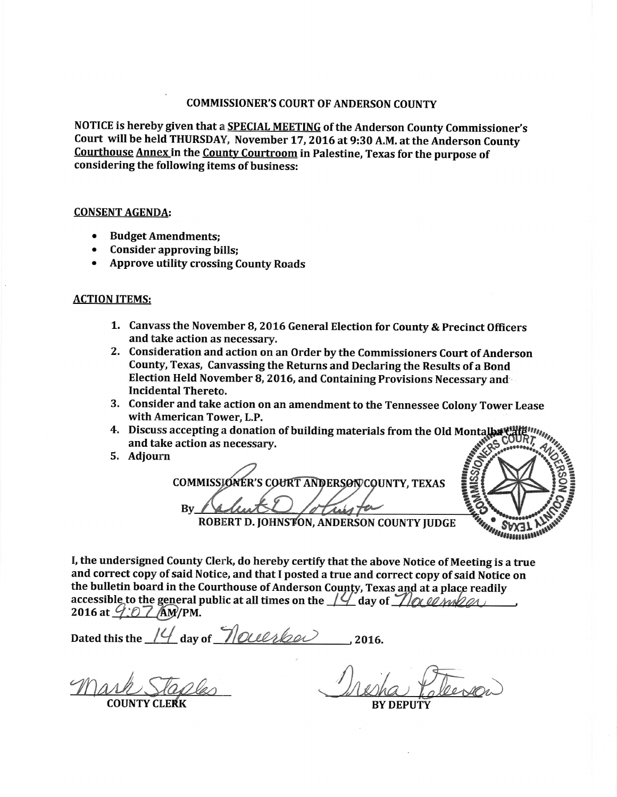## COMMISSIONER'S COURT OF ANDERSON COUNTY

NOTICE is hereby given that a **SPECIAL MEETING** of the Anderson County Commissioner's Court will be held THURSDAY, November 17, 2016 at 9:30 A.M. at the Anderson County Courthouse Annex in the County Courtroom in Palestine, Texas for the purpose of considering the following items of business:

## **CONSENT AGENDA:**

- Budget Amendments:
- Consider approving bills;
- . Approve utility crossing County Roads

## ACTION ITEMS:

- 1. Canvass the November B, 2016 General Election for County & Precinct Officers and take action as necessary.
- 2. Consideration and action on an Order by the Commissioners Court of Anderson County, Texas, Canvassing the Returns and Declaring the Results of a Bond Election HeId November B, 2016, and Containing Provisions Necessary and . Incidental Thereto.
- 3. Consider and take action on an amendment to the Tennessee Colony Tower Lease with American Tower, L.P.
- 4. Discuss accepting a donation of building materials from the Old Montalbayte and take action as necessary.
- 5. Adjourn

COMMISSIONER'S COURT ANDERSON COUNTY, TEXAS By



ROBERT D. JOHNSTON, ANDERSON COUNTY JUDGE

I, the undersigned County Clerk, do hereby certify that the above Notice of Meeting is a true and correct copy of said Notice, and that I posted a true and correct copy of said Notice on the bulletin board in the Courthouse of Anderson County, Texas and at a place readily accessible to the general public at all times on the  $14'$  day of  $\mathcal{N}$  or  $\mathcal{N}$  and  $\mathcal{N}$ 

Dated this the  $14$  day of  $\sqrt[3]{O(\ell\ell/\ell\rho)}$ , 2016,

**COUNTY CLERK** 

**BY DEPUT**